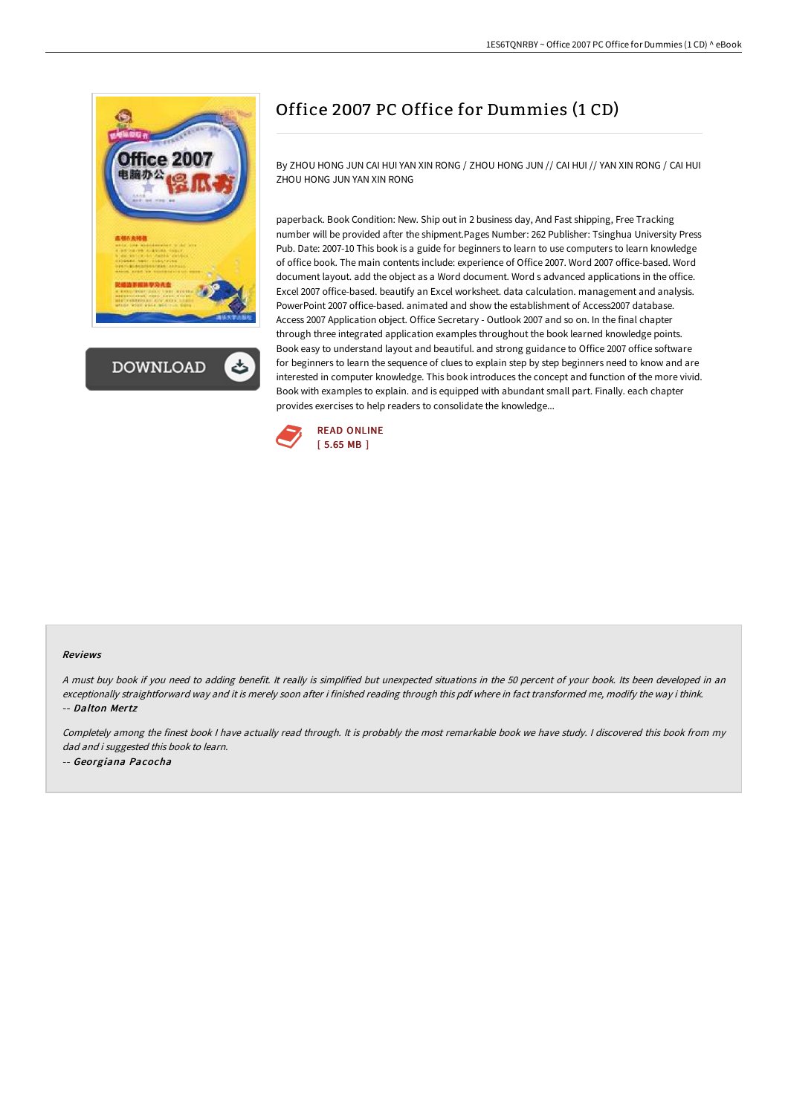



# Office 2007 PC Office for Dummies (1 CD)

By ZHOU HONG JUN CAI HUI YAN XIN RONG / ZHOU HONG JUN // CAI HUI // YAN XIN RONG / CAI HUI ZHOU HONG JUN YAN XIN RONG

paperback. Book Condition: New. Ship out in 2 business day, And Fast shipping, Free Tracking number will be provided after the shipment.Pages Number: 262 Publisher: Tsinghua University Press Pub. Date: 2007-10 This book is a guide for beginners to learn to use computers to learn knowledge of office book. The main contents include: experience of Office 2007. Word 2007 office-based. Word document layout. add the object as a Word document. Word s advanced applications in the office. Excel 2007 office-based. beautify an Excel worksheet. data calculation. management and analysis. PowerPoint 2007 office-based. animated and show the establishment of Access2007 database. Access 2007 Application object. Office Secretary - Outlook 2007 and so on. In the final chapter through three integrated application examples throughout the book learned knowledge points. Book easy to understand layout and beautiful. and strong guidance to Office 2007 office software for beginners to learn the sequence of clues to explain step by step beginners need to know and are interested in computer knowledge. This book introduces the concept and function of the more vivid. Book with examples to explain. and is equipped with abundant small part. Finally. each chapter provides exercises to help readers to consolidate the knowledge...



#### Reviews

<sup>A</sup> must buy book if you need to adding benefit. It really is simplified but unexpected situations in the <sup>50</sup> percent of your book. Its been developed in an exceptionally straightforward way and it is merely soon after i finished reading through this pdf where in fact transformed me, modify the way i think. -- Dalton Mertz

Completely among the finest book <sup>I</sup> have actually read through. It is probably the most remarkable book we have study. <sup>I</sup> discovered this book from my dad and i suggested this book to learn. -- Georgiana Pacocha